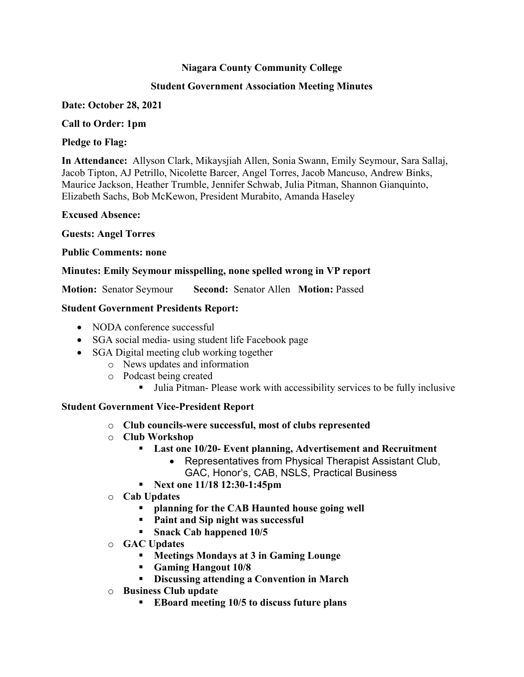### **Niagara County Community College**

### **Student Government Association Meeting Minutes**

### **Date: October 28, 2021**

### **Call to Order: 1pm**

### **Pledge to Flag:**

**In Attendance:** Allyson Clark, Mikaysjiah Allen, Sonia Swann, Emily Seymour, Sara Sallaj, Jacob Tipton, AJ Petrillo, Nicolette Barcer, Angel Torres, Jacob Mancuso, Andrew Binks, Maurice Jackson, Heather Trumble, Jennifer Schwab, Julia Pitman, Shannon Gianquinto, Elizabeth Sachs, Bob McKewon, President Murabito, Amanda Haseley

**Excused Absence:**

**Guests: Angel Torres**

### **Public Comments: none**

## **Minutes: Emily Seymour misspelling, none spelled wrong in VP report**

**Motion:** Senator Seymour **Second:** Senator Allen **Motion:** Passed

### **Student Government Presidents Report:**

- NODA conference successful
- SGA social media- using student life Facebook page
- SGA Digital meeting club working together
	- o News updates and information
		- o Podcast being created
			- Julia Pitman- Please work with accessibility services to be fully inclusive

## **Student Government Vice-President Report**

- o **Club councils-were successful, most of clubs represented**
- o **Club Workshop**
	- **Last one 10/20- Event planning, Advertisement and Recruitment**
		- Representatives from Physical Therapist Assistant Club, GAC, Honor's, CAB, NSLS, Practical Business
	- **Next one 11/18 12:30-1:45pm**
- o **Cab Updates**
	- **planning for the CAB Haunted house going well**
	- **Paint and Sip night was successful**
	- **Snack Cab happened 10/5**
- o **GAC Updates**
	- **Meetings Mondays at 3 in Gaming Lounge**
	- **Gaming Hangout 10/8**
	- **Discussing attending a Convention in March**
- o **Business Club update**
	- **EBoard meeting 10/5 to discuss future plans**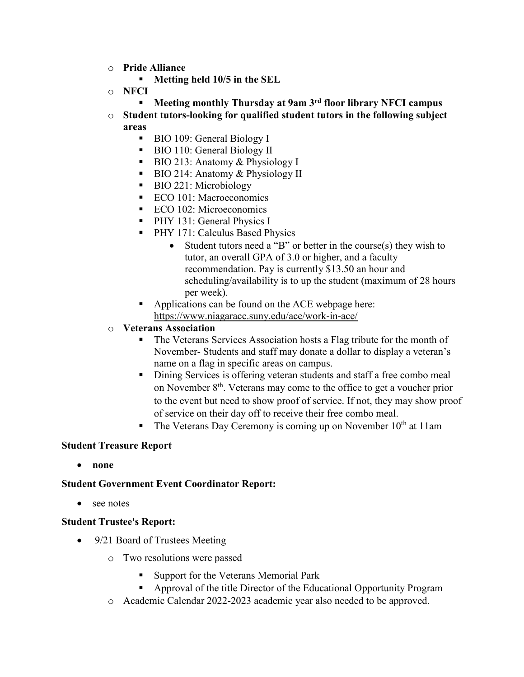- o **Pride Alliance**
	- **Metting held 10/5 in the SEL**
- o **NFCI**
	- **Meeting monthly Thursday at 9am 3rd floor library NFCI campus**
- o **Student tutors-looking for qualified student tutors in the following subject areas**
	- BIO 109: General Biology I
	- BIO 110: General Biology II
	- $\blacksquare$  BIO 213: Anatomy & Physiology I
	- BIO 214: Anatomy & Physiology II
	- BIO 221: Microbiology
	- ECO 101: Macroeconomics
	- ECO 102: Microeconomics
	- **PHY 131: General Physics I**
	- **PHY 171: Calculus Based Physics** 
		- Student tutors need a "B" or better in the course(s) they wish to tutor, an overall GPA of 3.0 or higher, and a faculty recommendation. Pay is currently \$13.50 an hour and scheduling/availability is to up the student (maximum of 28 hours per week).
	- Applications can be found on the ACE webpage here: <https://www.niagaracc.suny.edu/ace/work-in-ace/>
- o **Veterans Association**
	- The Veterans Services Association hosts a Flag tribute for the month of November- Students and staff may donate a dollar to display a veteran's name on a flag in specific areas on campus.
	- Dining Services is offering veteran students and staff a free combo meal on November 8th. Veterans may come to the office to get a voucher prior to the event but need to show proof of service. If not, they may show proof of service on their day off to receive their free combo meal.
	- The Veterans Day Ceremony is coming up on November  $10<sup>th</sup>$  at 11am

### **Student Treasure Report**

• **none**

### **Student Government Event Coordinator Report:**

• see notes

#### **Student Trustee's Report:**

- 9/21 Board of Trustees Meeting
	- o Two resolutions were passed
		- Support for the Veterans Memorial Park
		- Approval of the title Director of the Educational Opportunity Program
	- o Academic Calendar 2022-2023 academic year also needed to be approved.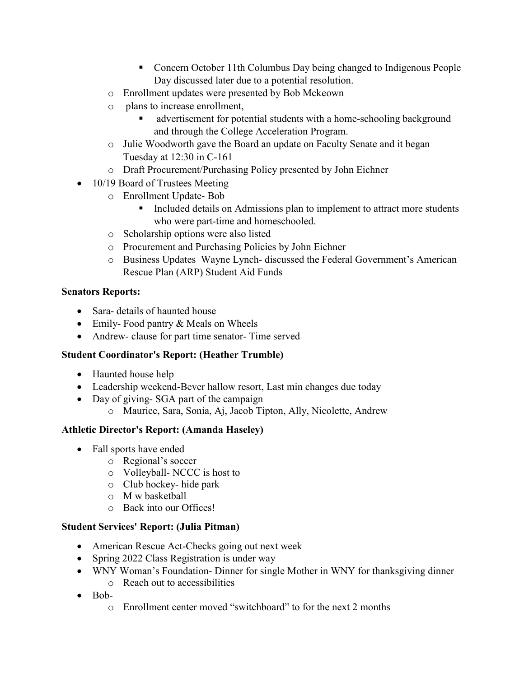- Concern October 11th Columbus Day being changed to Indigenous People Day discussed later due to a potential resolution.
- o Enrollment updates were presented by Bob Mckeown
- o plans to increase enrollment,
	- advertisement for potential students with a home-schooling background and through the College Acceleration Program.
- o Julie Woodworth gave the Board an update on Faculty Senate and it began Tuesday at 12:30 in C-161
- o Draft Procurement/Purchasing Policy presented by John Eichner
- 10/19 Board of Trustees Meeting
	- o Enrollment Update- Bob
		- Included details on Admissions plan to implement to attract more students who were part-time and homeschooled.
	- o Scholarship options were also listed
	- o Procurement and Purchasing Policies by [John Eichner](mailto:jeichner@niagaracc.suny.edu)
	- o Business Updates [Wayne Lynch-](mailto:wlynch@niagaracc.suny.edu) discussed the Federal Government's American Rescue Plan (ARP) Student Aid Funds

## **Senators Reports:**

- Sara- details of haunted house
- Emily-Food pantry & Meals on Wheels
- Andrew- clause for part time senator- Time served

# **Student Coordinator's Report: (Heather Trumble)**

- Haunted house help
- Leadership weekend-Bever hallow resort, Last min changes due today
- Day of giving-SGA part of the campaign
	- o Maurice, Sara, Sonia, Aj, Jacob Tipton, Ally, Nicolette, Andrew

# **Athletic Director's Report: (Amanda Haseley)**

- Fall sports have ended
	- o Regional's soccer
	- o Volleyball- NCCC is host to
	- o Club hockey- hide park
	- o M w basketball
	- o Back into our Offices!

## **Student Services' Report: (Julia Pitman)**

- American Rescue Act-Checks going out next week
- Spring 2022 Class Registration is under way
- WNY Woman's Foundation-Dinner for single Mother in WNY for thanksgiving dinner
	- o Reach out to accessibilities
- Bob
	- o Enrollment center moved "switchboard" to for the next 2 months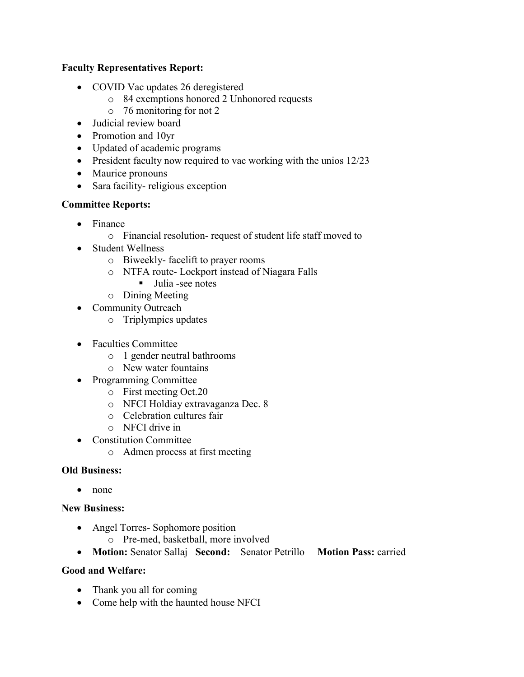## **Faculty Representatives Report:**

- COVID Vac updates 26 deregistered
	- o 84 exemptions honored 2 Unhonored requests
	- o 76 monitoring for not 2
- Judicial review board
- Promotion and 10yr
- Updated of academic programs
- President faculty now required to vac working with the unios 12/23
- Maurice pronouns
- Sara facility- religious exception

## **Committee Reports:**

- Finance
	- o Financial resolution- request of student life staff moved to
- Student Wellness
	- o Biweekly- facelift to prayer rooms
	- o NTFA route- Lockport instead of Niagara Falls
		- Julia -see notes
	- o Dining Meeting
- Community Outreach
	- o Triplympics updates
- Faculties Committee
	- o 1 gender neutral bathrooms
	- o New water fountains
- Programming Committee
	- o First meeting Oct.20
	- o NFCI Holdiay extravaganza Dec. 8
	- o Celebration cultures fair
	- o NFCI drive in
- Constitution Committee
	- o Admen process at first meeting

## **Old Business:**

• none

## **New Business:**

- Angel Torres- Sophomore position
	- o Pre-med, basketball, more involved
- **Motion:** Senator Sallaj **Second:** Senator Petrillo **Motion Pass:** carried

## **Good and Welfare:**

- Thank you all for coming
- Come help with the haunted house NFCI